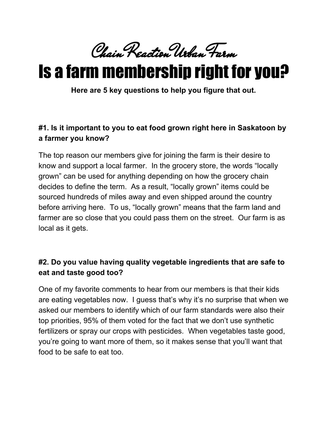Chain Reaction Urban Farm

# Is a farm membership right for you?

**Here are 5 key questions to help you figure that out.**

## **#1. Is it important to you to eat food grown right here in Saskatoon by a farmer you know?**

The top reason our members give for joining the farm is their desire to know and support a local farmer. In the grocery store, the words "locally grown" can be used for anything depending on how the grocery chain decides to define the term. As a result, "locally grown" items could be sourced hundreds of miles away and even shipped around the country before arriving here. To us, "locally grown" means that the farm land and farmer are so close that you could pass them on the street. Our farm is as local as it gets.

# **#2. Do you value having quality vegetable ingredients that are safe to eat and taste good too?**

One of my favorite comments to hear from our members is that their kids are eating vegetables now. I guess that's why it's no surprise that when we asked our members to identify which of our farm standards were also their top priorities, 95% of them voted for the fact that we don't use synthetic fertilizers or spray our crops with pesticides. When vegetables taste good, you're going to want more of them, so it makes sense that you'll want that food to be safe to eat too.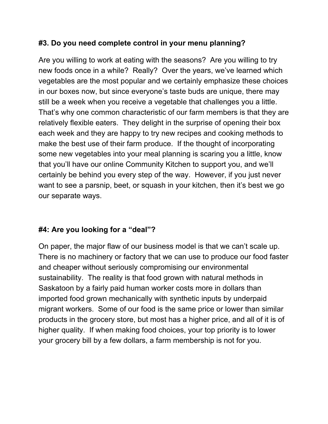### **#3. Do you need complete control in your menu planning?**

Are you willing to work at eating with the seasons? Are you willing to try new foods once in a while? Really? Over the years, we've learned which vegetables are the most popular and we certainly emphasize these choices in our boxes now, but since everyone's taste buds are unique, there may still be a week when you receive a vegetable that challenges you a little. That's why one common characteristic of our farm members is that they are relatively flexible eaters. They delight in the surprise of opening their box each week and they are happy to try new recipes and cooking methods to make the best use of their farm produce. If the thought of incorporating some new vegetables into your meal planning is scaring you a little, know that you'll have our online Community Kitchen to support you, and we'll certainly be behind you every step of the way. However, if you just never want to see a parsnip, beet, or squash in your kitchen, then it's best we go our separate ways.

#### **#4: Are you looking for a "deal"?**

On paper, the major flaw of our business model is that we can't scale up. There is no machinery or factory that we can use to produce our food faster and cheaper without seriously compromising our environmental sustainability. The reality is that food grown with natural methods in Saskatoon by a fairly paid human worker costs more in dollars than imported food grown mechanically with synthetic inputs by underpaid migrant workers. Some of our food is the same price or lower than similar products in the grocery store, but most has a higher price, and all of it is of higher quality. If when making food choices, your top priority is to lower your grocery bill by a few dollars, a farm membership is not for you.